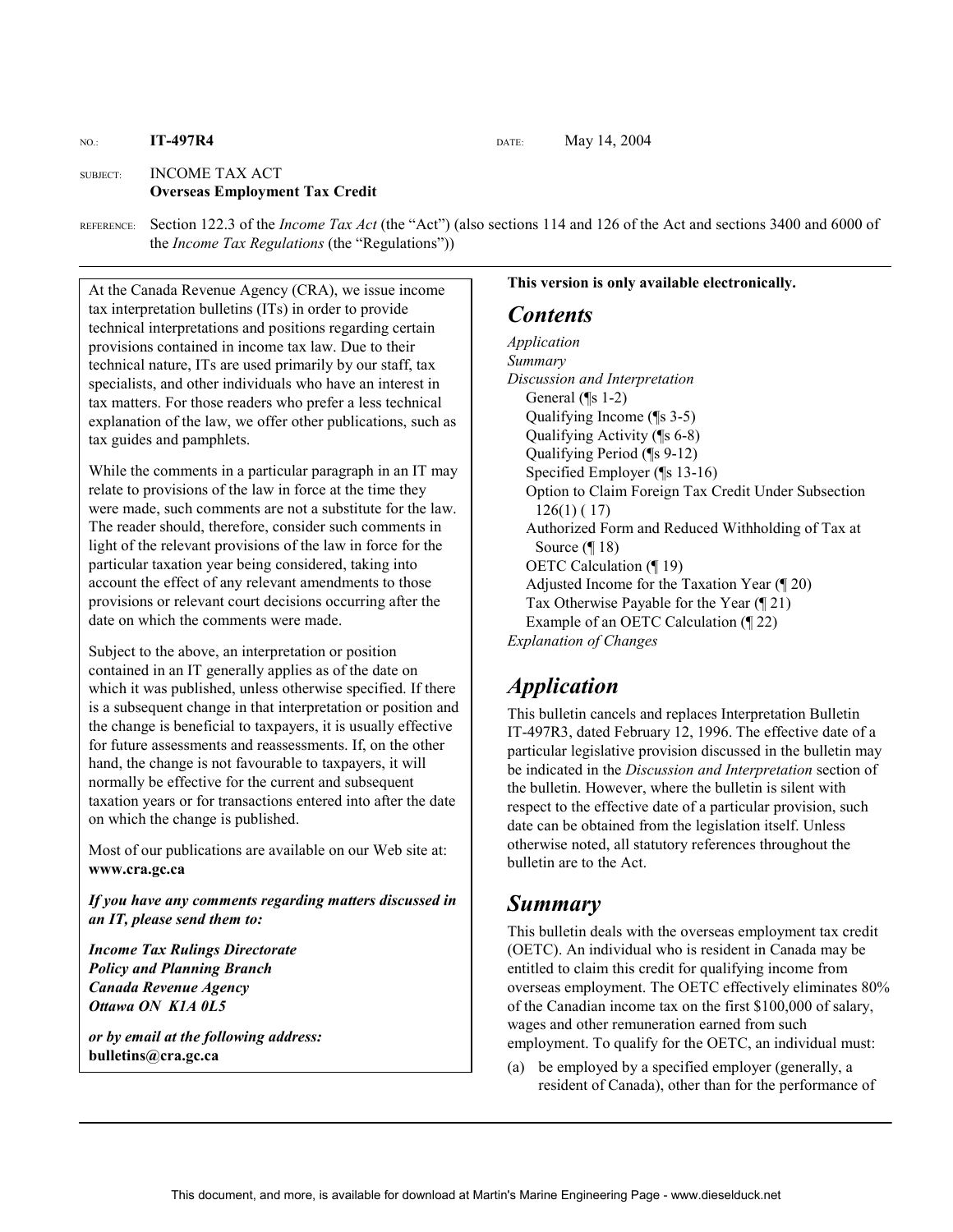#### NO.: **IT-497R4 DATE:** May 14, 2004

#### SUBJECT: INCOME TAX ACT **Overseas Employment Tax Credit**

REFERENCE: Section 122.3 of the *Income Tax Act* (the "Act") (also sections 114 and 126 of the Act and sections 3400 and 6000 of the *Income Tax Regulations* (the "Regulations"))

At the Canada Revenue Agency (CRA), we issue income tax interpretation bulletins (ITs) in order to provide technical interpretations and positions regarding certain provisions contained in income tax law. Due to their technical nature, ITs are used primarily by our staff, tax specialists, and other individuals who have an interest in tax matters. For those readers who prefer a less technical explanation of the law, we offer other publications, such as tax guides and pamphlets.

While the comments in a particular paragraph in an IT may relate to provisions of the law in force at the time they were made, such comments are not a substitute for the law. The reader should, therefore, consider such comments in light of the relevant provisions of the law in force for the particular taxation year being considered, taking into account the effect of any relevant amendments to those provisions or relevant court decisions occurring after the date on which the comments were made.

Subject to the above, an interpretation or position contained in an IT generally applies as of the date on which it was published, unless otherwise specified. If there is a subsequent change in that interpretation or position and the change is beneficial to taxpayers, it is usually effective for future assessments and reassessments. If, on the other hand, the change is not favourable to taxpayers, it will normally be effective for the current and subsequent taxation years or for transactions entered into after the date on which the change is published.

Most of our publications are available on our Web site at: **www.cra.gc.ca**

*If you have any comments regarding matters discussed in an IT, please send them to:* 

*Income Tax Rulings Directorate Policy and Planning Branch Canada Revenue Agency Ottawa ON K1A 0L5* 

*or by email at the following address:* **bulletins@cra.gc.ca**

#### **This version is only available electronically.**

#### *Contents*

*Application Summary Discussion and Interpretation*  General (¶s 1-2) Qualifying Income (¶s 3-5) Qualifying Activity (¶s 6-8) Qualifying Period (¶s 9-12) Specified Employer (¶s 13-16) Option to Claim Foreign Tax Credit Under Subsection 126(1) ( 17) Authorized Form and Reduced Withholding of Tax at Source (¶ 18) OETC Calculation (¶ 19) Adjusted Income for the Taxation Year (¶ 20) Tax Otherwise Payable for the Year (¶ 21) Example of an OETC Calculation (¶ 22) *Explanation of Changes* 

# *Application*

This bulletin cancels and replaces Interpretation Bulletin IT-497R3, dated February 12, 1996. The effective date of a particular legislative provision discussed in the bulletin may be indicated in the *Discussion and Interpretation* section of the bulletin. However, where the bulletin is silent with respect to the effective date of a particular provision, such date can be obtained from the legislation itself. Unless otherwise noted, all statutory references throughout the bulletin are to the Act.

# *Summary*

This bulletin deals with the overseas employment tax credit (OETC). An individual who is resident in Canada may be entitled to claim this credit for qualifying income from overseas employment. The OETC effectively eliminates 80% of the Canadian income tax on the first \$100,000 of salary, wages and other remuneration earned from such employment. To qualify for the OETC, an individual must:

(a) be employed by a specified employer (generally, a resident of Canada), other than for the performance of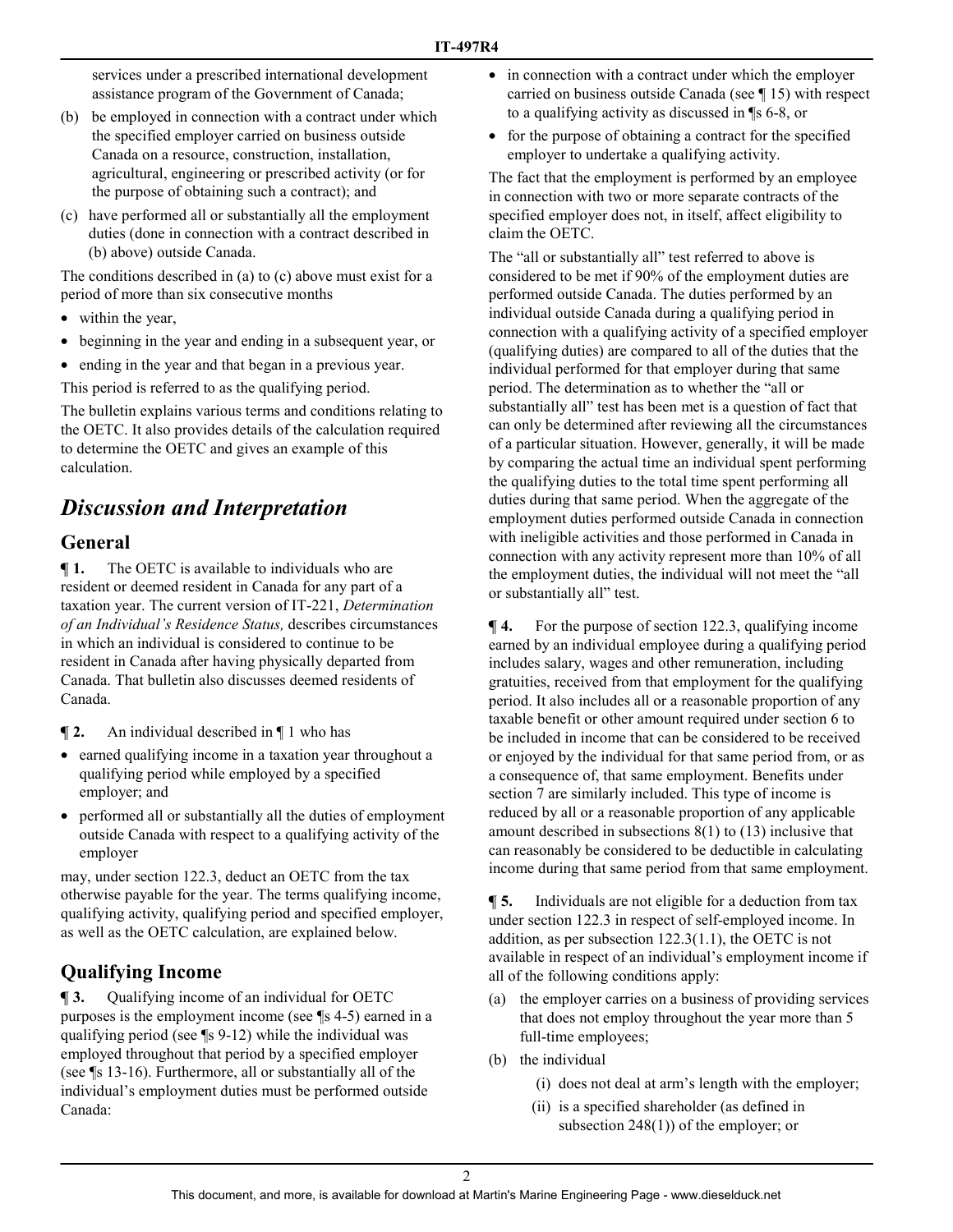services under a prescribed international development assistance program of the Government of Canada;

- (b) be employed in connection with a contract under which the specified employer carried on business outside Canada on a resource, construction, installation, agricultural, engineering or prescribed activity (or for the purpose of obtaining such a contract); and
- (c) have performed all or substantially all the employment duties (done in connection with a contract described in (b) above) outside Canada.

The conditions described in (a) to (c) above must exist for a period of more than six consecutive months

- within the year,
- beginning in the year and ending in a subsequent year, or
- ending in the year and that began in a previous year.

This period is referred to as the qualifying period.

The bulletin explains various terms and conditions relating to the OETC. It also provides details of the calculation required to determine the OETC and gives an example of this calculation.

# *Discussion and Interpretation*

# **General**

**¶ 1.** The OETC is available to individuals who are resident or deemed resident in Canada for any part of a taxation year. The current version of IT-221, *Determination of an Individual's Residence Status,* describes circumstances in which an individual is considered to continue to be resident in Canada after having physically departed from Canada. That bulletin also discusses deemed residents of Canada.

**¶ 2.** An individual described in ¶ 1 who has

- earned qualifying income in a taxation year throughout a qualifying period while employed by a specified employer; and
- performed all or substantially all the duties of employment outside Canada with respect to a qualifying activity of the employer

may, under section 122.3, deduct an OETC from the tax otherwise payable for the year. The terms qualifying income, qualifying activity, qualifying period and specified employer, as well as the OETC calculation, are explained below.

# **Qualifying Income**

**¶ 3.** Qualifying income of an individual for OETC purposes is the employment income (see ¶s 4-5) earned in a qualifying period (see ¶s 9-12) while the individual was employed throughout that period by a specified employer (see ¶s 13-16). Furthermore, all or substantially all of the individual's employment duties must be performed outside Canada:

- in connection with a contract under which the employer carried on business outside Canada (see ¶ 15) with respect to a qualifying activity as discussed in ¶s 6-8, or
- for the purpose of obtaining a contract for the specified employer to undertake a qualifying activity.

The fact that the employment is performed by an employee in connection with two or more separate contracts of the specified employer does not, in itself, affect eligibility to claim the OETC.

The "all or substantially all" test referred to above is considered to be met if 90% of the employment duties are performed outside Canada. The duties performed by an individual outside Canada during a qualifying period in connection with a qualifying activity of a specified employer (qualifying duties) are compared to all of the duties that the individual performed for that employer during that same period. The determination as to whether the "all or substantially all" test has been met is a question of fact that can only be determined after reviewing all the circumstances of a particular situation. However, generally, it will be made by comparing the actual time an individual spent performing the qualifying duties to the total time spent performing all duties during that same period. When the aggregate of the employment duties performed outside Canada in connection with ineligible activities and those performed in Canada in connection with any activity represent more than 10% of all the employment duties, the individual will not meet the "all or substantially all" test.

**¶ 4.** For the purpose of section 122.3, qualifying income earned by an individual employee during a qualifying period includes salary, wages and other remuneration, including gratuities, received from that employment for the qualifying period. It also includes all or a reasonable proportion of any taxable benefit or other amount required under section 6 to be included in income that can be considered to be received or enjoyed by the individual for that same period from, or as a consequence of, that same employment. Benefits under section 7 are similarly included. This type of income is reduced by all or a reasonable proportion of any applicable amount described in subsections 8(1) to (13) inclusive that can reasonably be considered to be deductible in calculating income during that same period from that same employment.

**¶ 5.** Individuals are not eligible for a deduction from tax under section 122.3 in respect of self-employed income. In addition, as per subsection 122.3(1.1), the OETC is not available in respect of an individual's employment income if all of the following conditions apply:

- (a) the employer carries on a business of providing services that does not employ throughout the year more than 5 full-time employees;
- (b) the individual
	- (i) does not deal at arm's length with the employer;
	- (ii) is a specified shareholder (as defined in subsection 248(1)) of the employer; or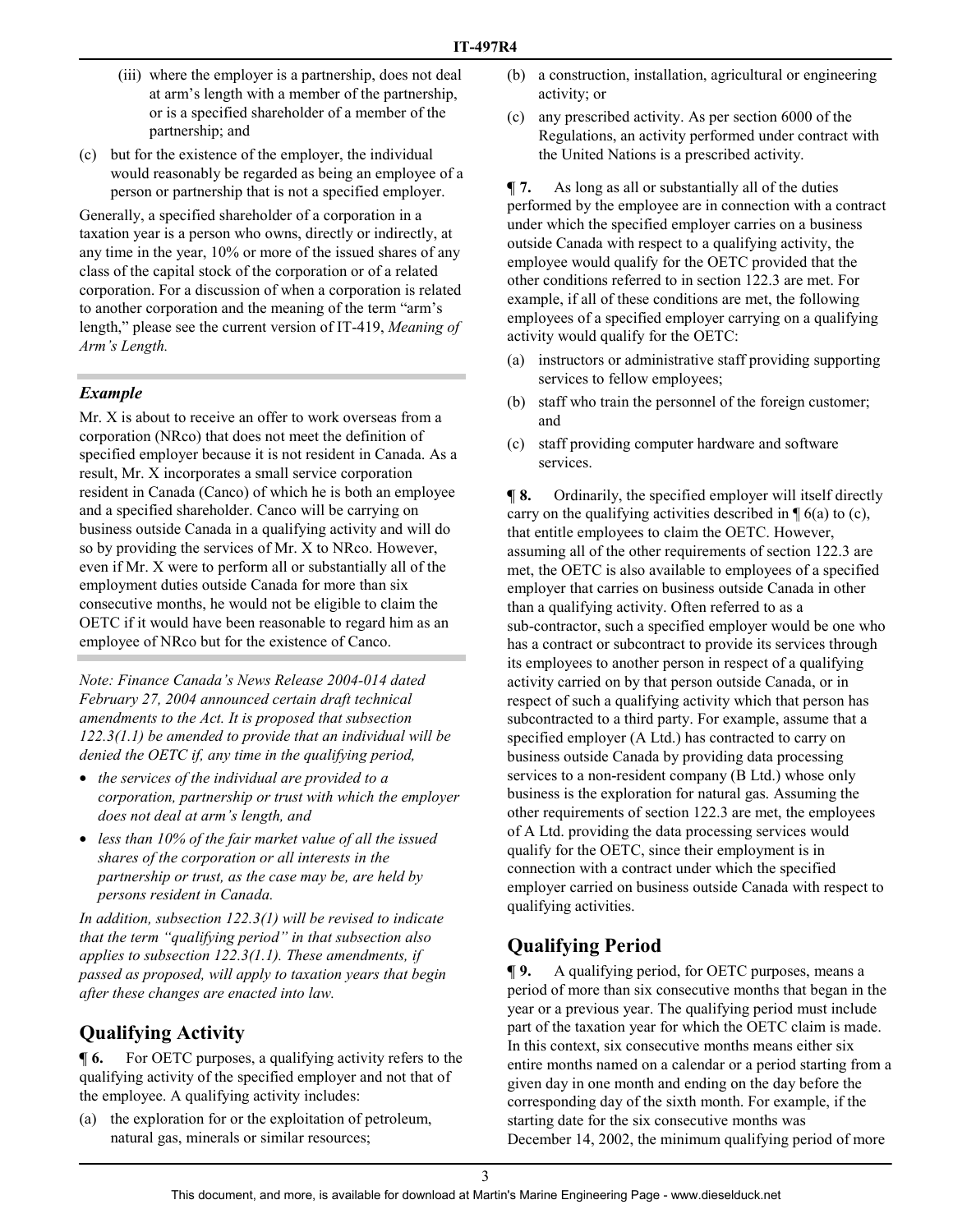- (iii) where the employer is a partnership, does not deal at arm's length with a member of the partnership, or is a specified shareholder of a member of the partnership; and
- (c) but for the existence of the employer, the individual would reasonably be regarded as being an employee of a person or partnership that is not a specified employer.

Generally, a specified shareholder of a corporation in a taxation year is a person who owns, directly or indirectly, at any time in the year, 10% or more of the issued shares of any class of the capital stock of the corporation or of a related corporation. For a discussion of when a corporation is related to another corporation and the meaning of the term "arm's length," please see the current version of IT-419, *Meaning of Arm's Length.* 

#### *Example*

Mr. X is about to receive an offer to work overseas from a corporation (NRco) that does not meet the definition of specified employer because it is not resident in Canada. As a result, Mr. X incorporates a small service corporation resident in Canada (Canco) of which he is both an employee and a specified shareholder. Canco will be carrying on business outside Canada in a qualifying activity and will do so by providing the services of Mr. X to NRco. However, even if Mr. X were to perform all or substantially all of the employment duties outside Canada for more than six consecutive months, he would not be eligible to claim the OETC if it would have been reasonable to regard him as an employee of NRco but for the existence of Canco.

*Note: Finance Canada's News Release 2004-014 dated February 27, 2004 announced certain draft technical amendments to the Act. It is proposed that subsection 122.3(1.1) be amended to provide that an individual will be denied the OETC if, any time in the qualifying period,* 

- *the services of the individual are provided to a corporation, partnership or trust with which the employer does not deal at arm's length, and*
- *less than 10% of the fair market value of all the issued shares of the corporation or all interests in the partnership or trust, as the case may be, are held by persons resident in Canada.*

*In addition, subsection 122.3(1) will be revised to indicate that the term "qualifying period" in that subsection also applies to subsection 122.3(1.1). These amendments, if passed as proposed, will apply to taxation years that begin after these changes are enacted into law.* 

# **Qualifying Activity**

 $\blacksquare$  **6.** For OETC purposes, a qualifying activity refers to the qualifying activity of the specified employer and not that of the employee. A qualifying activity includes:

(a) the exploration for or the exploitation of petroleum, natural gas, minerals or similar resources;

- (b) a construction, installation, agricultural or engineering activity; or
- (c) any prescribed activity. As per section 6000 of the Regulations, an activity performed under contract with the United Nations is a prescribed activity.

**¶ 7.** As long as all or substantially all of the duties performed by the employee are in connection with a contract under which the specified employer carries on a business outside Canada with respect to a qualifying activity, the employee would qualify for the OETC provided that the other conditions referred to in section 122.3 are met. For example, if all of these conditions are met, the following employees of a specified employer carrying on a qualifying activity would qualify for the OETC:

- (a) instructors or administrative staff providing supporting services to fellow employees;
- (b) staff who train the personnel of the foreign customer; and
- (c) staff providing computer hardware and software services.

**¶ 8.** Ordinarily, the specified employer will itself directly carry on the qualifying activities described in  $\P$  6(a) to (c), that entitle employees to claim the OETC. However, assuming all of the other requirements of section 122.3 are met, the OETC is also available to employees of a specified employer that carries on business outside Canada in other than a qualifying activity. Often referred to as a sub-contractor, such a specified employer would be one who has a contract or subcontract to provide its services through its employees to another person in respect of a qualifying activity carried on by that person outside Canada, or in respect of such a qualifying activity which that person has subcontracted to a third party. For example, assume that a specified employer (A Ltd.) has contracted to carry on business outside Canada by providing data processing services to a non-resident company (B Ltd.) whose only business is the exploration for natural gas. Assuming the other requirements of section 122.3 are met, the employees of A Ltd. providing the data processing services would qualify for the OETC, since their employment is in connection with a contract under which the specified employer carried on business outside Canada with respect to qualifying activities.

## **Qualifying Period**

**¶ 9.** A qualifying period, for OETC purposes, means a period of more than six consecutive months that began in the year or a previous year. The qualifying period must include part of the taxation year for which the OETC claim is made. In this context, six consecutive months means either six entire months named on a calendar or a period starting from a given day in one month and ending on the day before the corresponding day of the sixth month. For example, if the starting date for the six consecutive months was December 14, 2002, the minimum qualifying period of more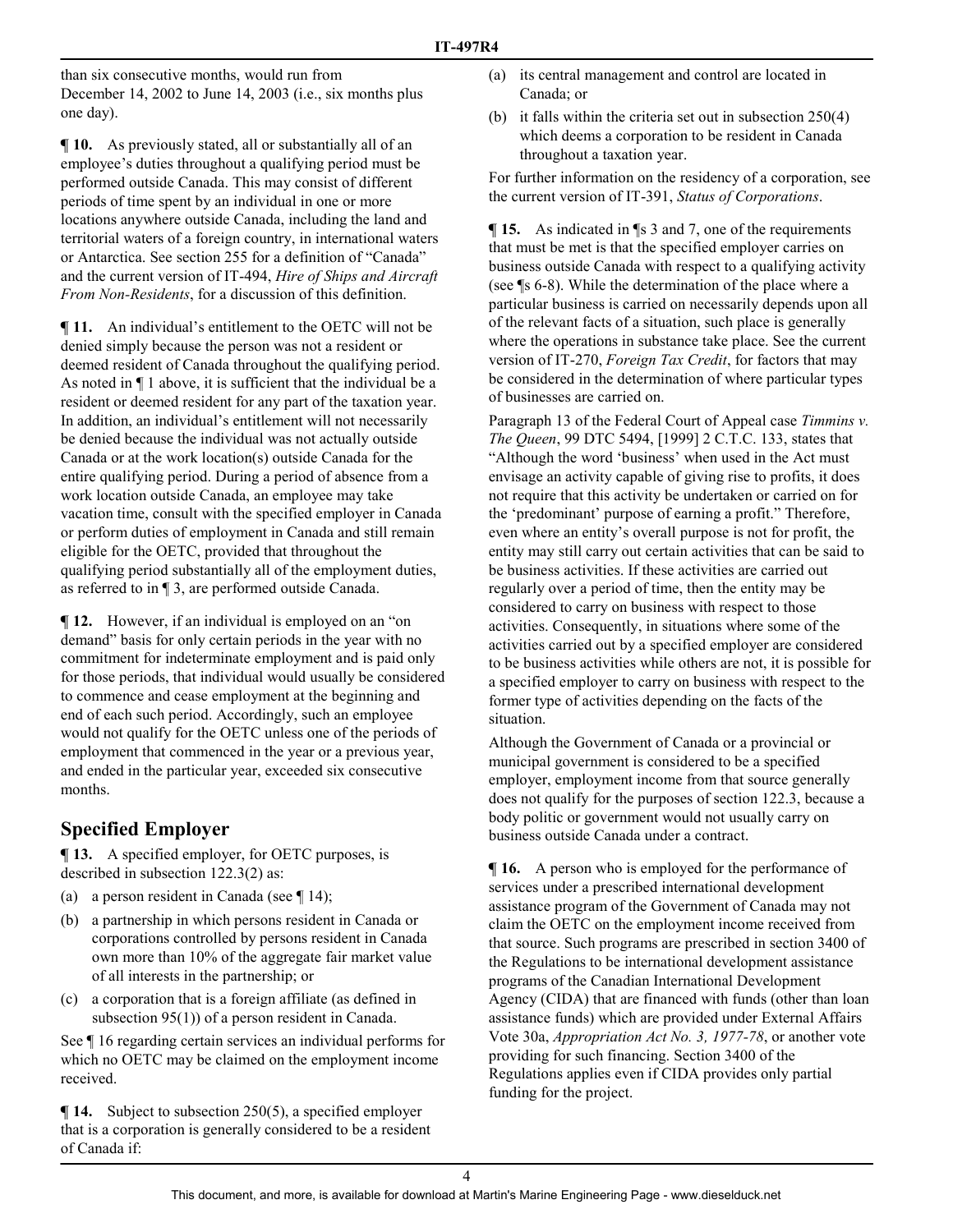than six consecutive months, would run from December 14, 2002 to June 14, 2003 (i.e., six months plus one day).

**¶ 10.** As previously stated, all or substantially all of an employee's duties throughout a qualifying period must be performed outside Canada. This may consist of different periods of time spent by an individual in one or more locations anywhere outside Canada, including the land and territorial waters of a foreign country, in international waters or Antarctica. See section 255 for a definition of "Canada" and the current version of IT-494, *Hire of Ships and Aircraft From Non-Residents*, for a discussion of this definition.

**¶ 11.** An individual's entitlement to the OETC will not be denied simply because the person was not a resident or deemed resident of Canada throughout the qualifying period. As noted in ¶ 1 above, it is sufficient that the individual be a resident or deemed resident for any part of the taxation year. In addition, an individual's entitlement will not necessarily be denied because the individual was not actually outside Canada or at the work location(s) outside Canada for the entire qualifying period. During a period of absence from a work location outside Canada, an employee may take vacation time, consult with the specified employer in Canada or perform duties of employment in Canada and still remain eligible for the OETC, provided that throughout the qualifying period substantially all of the employment duties, as referred to in ¶ 3, are performed outside Canada.

**¶ 12.** However, if an individual is employed on an "on demand" basis for only certain periods in the year with no commitment for indeterminate employment and is paid only for those periods, that individual would usually be considered to commence and cease employment at the beginning and end of each such period. Accordingly, such an employee would not qualify for the OETC unless one of the periods of employment that commenced in the year or a previous year, and ended in the particular year, exceeded six consecutive months.

# **Specified Employer**

**[13.** A specified employer, for OETC purposes, is described in subsection 122.3(2) as:

- (a) a person resident in Canada (see  $\P$  14);
- (b) a partnership in which persons resident in Canada or corporations controlled by persons resident in Canada own more than 10% of the aggregate fair market value of all interests in the partnership; or
- (c) a corporation that is a foreign affiliate (as defined in subsection 95(1)) of a person resident in Canada.

See ¶ 16 regarding certain services an individual performs for which no OETC may be claimed on the employment income received.

**¶ 14.** Subject to subsection 250(5), a specified employer that is a corporation is generally considered to be a resident of Canada if:

- (a) its central management and control are located in Canada; or
- (b) it falls within the criteria set out in subsection 250(4) which deems a corporation to be resident in Canada throughout a taxation year.

For further information on the residency of a corporation, see the current version of IT-391, *Status of Corporations*.

**¶ 15.** As indicated in ¶s 3 and 7, one of the requirements that must be met is that the specified employer carries on business outside Canada with respect to a qualifying activity (see ¶s 6-8). While the determination of the place where a particular business is carried on necessarily depends upon all of the relevant facts of a situation, such place is generally where the operations in substance take place. See the current version of IT-270, *Foreign Tax Credit*, for factors that may be considered in the determination of where particular types of businesses are carried on.

Paragraph 13 of the Federal Court of Appeal case *Timmins v. The Queen*, 99 DTC 5494, [1999] 2 C.T.C. 133, states that "Although the word 'business' when used in the Act must envisage an activity capable of giving rise to profits, it does not require that this activity be undertaken or carried on for the 'predominant' purpose of earning a profit." Therefore, even where an entity's overall purpose is not for profit, the entity may still carry out certain activities that can be said to be business activities. If these activities are carried out regularly over a period of time, then the entity may be considered to carry on business with respect to those activities. Consequently, in situations where some of the activities carried out by a specified employer are considered to be business activities while others are not, it is possible for a specified employer to carry on business with respect to the former type of activities depending on the facts of the situation.

Although the Government of Canada or a provincial or municipal government is considered to be a specified employer, employment income from that source generally does not qualify for the purposes of section 122.3, because a body politic or government would not usually carry on business outside Canada under a contract.

 $\P$  **16.** A person who is employed for the performance of services under a prescribed international development assistance program of the Government of Canada may not claim the OETC on the employment income received from that source. Such programs are prescribed in section 3400 of the Regulations to be international development assistance programs of the Canadian International Development Agency (CIDA) that are financed with funds (other than loan assistance funds) which are provided under External Affairs Vote 30a, *Appropriation Act No. 3, 1977-78*, or another vote providing for such financing. Section 3400 of the Regulations applies even if CIDA provides only partial funding for the project.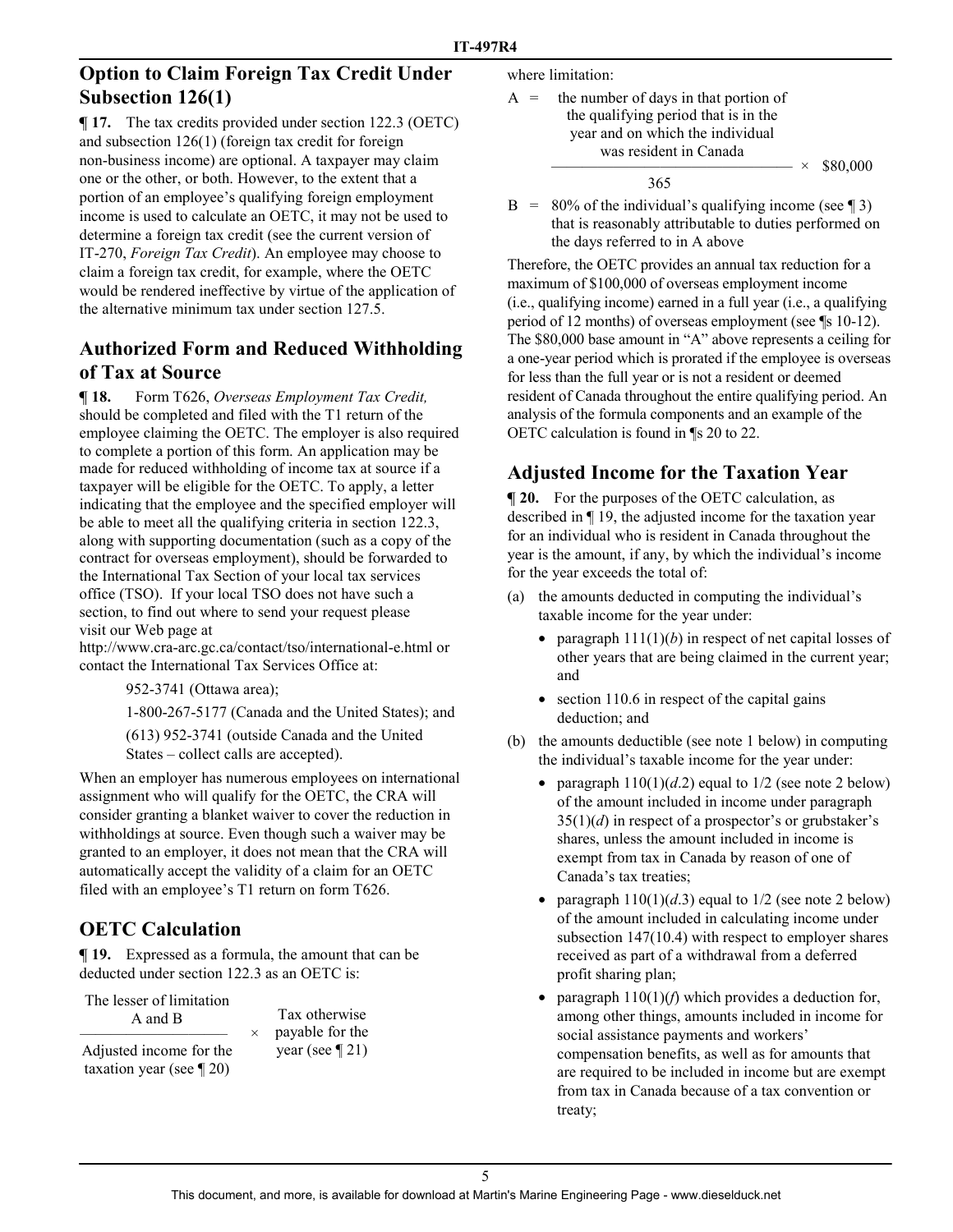## **Option to Claim Foreign Tax Credit Under Subsection 126(1)**

**¶ 17.** The tax credits provided under section 122.3 (OETC) and subsection 126(1) (foreign tax credit for foreign non-business income) are optional. A taxpayer may claim one or the other, or both. However, to the extent that a portion of an employee's qualifying foreign employment income is used to calculate an OETC, it may not be used to determine a foreign tax credit (see the current version of IT-270, *Foreign Tax Credit*). An employee may choose to claim a foreign tax credit, for example, where the OETC would be rendered ineffective by virtue of the application of the alternative minimum tax under section 127.5.

# **Authorized Form and Reduced Withholding of Tax at Source**

**¶ 18.** Form T626, *Overseas Employment Tax Credit,* should be completed and filed with the T1 return of the employee claiming the OETC. The employer is also required to complete a portion of this form. An application may be made for reduced withholding of income tax at source if a taxpayer will be eligible for the OETC. To apply, a letter indicating that the employee and the specified employer will be able to meet all the qualifying criteria in section 122.3, along with supporting documentation (such as a copy of the contract for overseas employment), should be forwarded to the International Tax Section of your local tax services office (TSO). If your local TSO does not have such a section, to find out where to send your request please visit our Web page at

http://www.cra-arc.gc.ca/contact/tso/international-e.html or contact the International Tax Services Office at:

952-3741 (Ottawa area);

1-800-267-5177 (Canada and the United States); and

(613) 952-3741 (outside Canada and the United States – collect calls are accepted).

When an employer has numerous employees on international assignment who will qualify for the OETC, the CRA will consider granting a blanket waiver to cover the reduction in withholdings at source. Even though such a waiver may be granted to an employer, it does not mean that the CRA will automatically accept the validity of a claim for an OETC filed with an employee's T1 return on form T626.

## **OETC Calculation**

**¶ 19.** Expressed as a formula, the amount that can be deducted under section 122.3 as an OETC is:

> Tax otherwise payable for the year (see ¶ 21)

The lesser of limitation A and B

———————————————————— **×** Adjusted income for the taxation year (see ¶ 20)

where limitation:

 $A =$  the number of days in that portion of the qualifying period that is in the year and on which the individual was resident in Canada  $\times$  \$80,000 365

 $B = 80\%$  of the individual's qualifying income (see \iepseq 3) that is reasonably attributable to duties performed on the days referred to in A above

Therefore, the OETC provides an annual tax reduction for a maximum of \$100,000 of overseas employment income (i.e., qualifying income) earned in a full year (i.e., a qualifying period of 12 months) of overseas employment (see ¶s 10-12). The \$80,000 base amount in "A" above represents a ceiling for a one-year period which is prorated if the employee is overseas for less than the full year or is not a resident or deemed resident of Canada throughout the entire qualifying period. An analysis of the formula components and an example of the OETC calculation is found in ¶s 20 to 22.

# **Adjusted Income for the Taxation Year**

 $\P$  **20.** For the purposes of the OETC calculation, as described in ¶ 19, the adjusted income for the taxation year for an individual who is resident in Canada throughout the year is the amount, if any, by which the individual's income for the year exceeds the total of:

- (a) the amounts deducted in computing the individual's taxable income for the year under:
	- paragraph  $111(1)(b)$  in respect of net capital losses of other years that are being claimed in the current year; and
	- section 110.6 in respect of the capital gains deduction; and
- (b) the amounts deductible (see note 1 below) in computing the individual's taxable income for the year under:
	- paragraph  $110(1)(d.2)$  equal to  $1/2$  (see note 2 below) of the amount included in income under paragraph  $35(1)(d)$  in respect of a prospector's or grubstaker's shares, unless the amount included in income is exempt from tax in Canada by reason of one of Canada's tax treaties;
	- paragraph  $110(1)(d.3)$  equal to  $1/2$  (see note 2 below) of the amount included in calculating income under subsection 147(10.4) with respect to employer shares received as part of a withdrawal from a deferred profit sharing plan;
	- paragraph  $110(1)(f)$  which provides a deduction for, among other things, amounts included in income for social assistance payments and workers' compensation benefits, as well as for amounts that are required to be included in income but are exempt from tax in Canada because of a tax convention or treaty;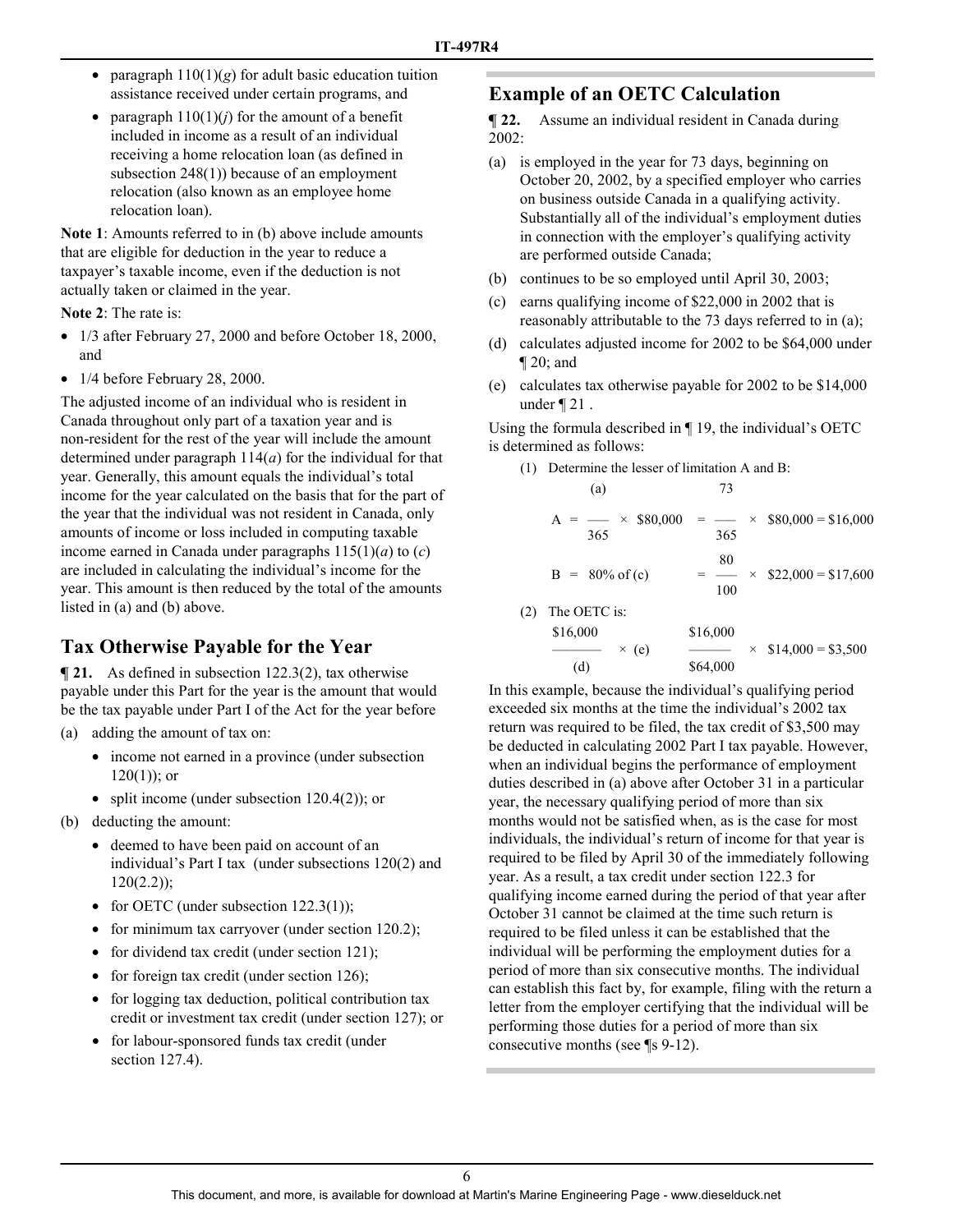- paragraph  $110(1)(g)$  for adult basic education tuition assistance received under certain programs, and
- paragraph  $110(1)(i)$  for the amount of a benefit included in income as a result of an individual receiving a home relocation loan (as defined in subsection 248(1)) because of an employment relocation (also known as an employee home relocation loan).

**Note 1**: Amounts referred to in (b) above include amounts that are eligible for deduction in the year to reduce a taxpayer's taxable income, even if the deduction is not actually taken or claimed in the year.

**Note 2**: The rate is:

- 1/3 after February 27, 2000 and before October 18, 2000, and
- 1/4 before February 28, 2000.

The adjusted income of an individual who is resident in Canada throughout only part of a taxation year and is non-resident for the rest of the year will include the amount determined under paragraph 114(*a*) for the individual for that year. Generally, this amount equals the individual's total income for the year calculated on the basis that for the part of the year that the individual was not resident in Canada, only amounts of income or loss included in computing taxable income earned in Canada under paragraphs 115(1)(*a*) to (*c*) are included in calculating the individual's income for the year. This amount is then reduced by the total of the amounts listed in (a) and (b) above.

# **Tax Otherwise Payable for the Year**

**¶ 21.** As defined in subsection 122.3(2), tax otherwise payable under this Part for the year is the amount that would be the tax payable under Part I of the Act for the year before

- (a) adding the amount of tax on:
	- income not earned in a province (under subsection  $120(1)$ ; or
	- split income (under subsection 120.4(2)); or
- (b) deducting the amount:
	- deemed to have been paid on account of an individual's Part I tax (under subsections 120(2) and  $120(2.2)$ ;
	- for OETC (under subsection 122.3(1));
	- for minimum tax carryover (under section 120.2);
	- for dividend tax credit (under section 121);
	- for foreign tax credit (under section 126);
	- for logging tax deduction, political contribution tax credit or investment tax credit (under section 127); or
	- for labour-sponsored funds tax credit (under section 127.4).

### **Example of an OETC Calculation**

**¶ 22.** Assume an individual resident in Canada during 2002:

- (a) is employed in the year for 73 days, beginning on October 20, 2002, by a specified employer who carries on business outside Canada in a qualifying activity. Substantially all of the individual's employment duties in connection with the employer's qualifying activity are performed outside Canada;
- (b) continues to be so employed until April 30, 2003;
- (c) earns qualifying income of \$22,000 in 2002 that is reasonably attributable to the 73 days referred to in (a);
- (d) calculates adjusted income for 2002 to be \$64,000 under ¶ 20; and
- (e) calculates tax otherwise payable for 2002 to be \$14,000 under ¶ 21 .

Using the formula described in ¶ 19, the individual's OETC is determined as follows:

(1) Determine the lesser of limitation A and B:

(a) 73  
\n
$$
A = \frac{}{365} \times \$80,000 = \frac{}{365} \times \$80,000 = \$16,000
$$
\n
$$
B = 80\% \text{ of (c)} = \frac{80}{100} \times \$22,000 = \$17,600
$$
\nThe OETC is:

(2) The OETC is:  
\n\$16,000  
\n(d) 
$$
\times
$$
 (e)  $\frac{$16,000}{$64,000}$   $\times$  \$14,000 = \$3,500

In this example, because the individual's qualifying period exceeded six months at the time the individual's 2002 tax return was required to be filed, the tax credit of \$3,500 may be deducted in calculating 2002 Part I tax payable. However, when an individual begins the performance of employment duties described in (a) above after October 31 in a particular year, the necessary qualifying period of more than six months would not be satisfied when, as is the case for most individuals, the individual's return of income for that year is required to be filed by April 30 of the immediately following year. As a result, a tax credit under section 122.3 for qualifying income earned during the period of that year after October 31 cannot be claimed at the time such return is required to be filed unless it can be established that the individual will be performing the employment duties for a period of more than six consecutive months. The individual can establish this fact by, for example, filing with the return a letter from the employer certifying that the individual will be performing those duties for a period of more than six consecutive months (see ¶s 9-12).